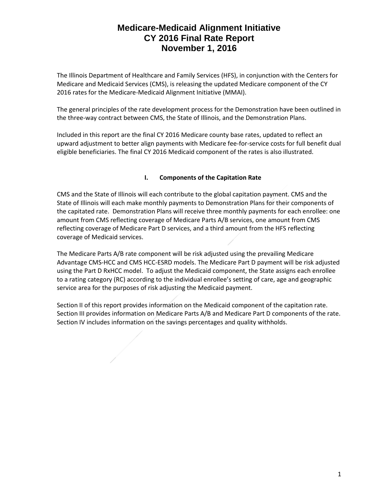The Illinois Department of Healthcare and Family Services (HFS), in conjunction with the Centers for Medicare and Medicaid Services (CMS), is releasing the updated Medicare component of the CY 2016 rates for the Medicare-Medicaid Alignment Initiative (MMAI).

The general principles of the rate development process for the Demonstration have been outlined in the three-way contract between CMS, the State of Illinois, and the Demonstration Plans.

Included in this report are the final CY 2016 Medicare county base rates, updated to reflect an upward adjustment to better align payments with Medicare fee-for-service costs for full benefit dual eligible beneficiaries. The final CY 2016 Medicaid component of the rates is also illustrated.

#### **I. Components of the Capitation Rate**

CMS and the State of Illinois will each contribute to the global capitation payment. CMS and the State of Illinois will each make monthly payments to Demonstration Plans for their components of the capitated rate. Demonstration Plans will receive three monthly payments for each enrollee: one amount from CMS reflecting coverage of Medicare Parts A/B services, one amount from CMS reflecting coverage of Medicare Part D services, and a third amount from the HFS reflecting coverage of Medicaid services.

The Medicare Parts A/B rate component will be risk adjusted using the prevailing Medicare Advantage CMS-HCC and CMS HCC-ESRD models. The Medicare Part D payment will be risk adjusted using the Part D RxHCC model. To adjust the Medicaid component, the State assigns each enrollee to a rating category (RC) according to the individual enrollee's setting of care, age and geographic service area for the purposes of risk adjusting the Medicaid payment.

Section II of this report provides information on the Medicaid component of the capitation rate. Section III provides information on Medicare Parts A/B and Medicare Part D components of the rate. Section IV includes information on the savings percentages and quality withholds.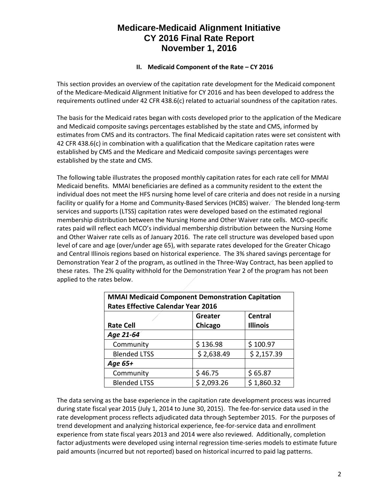#### **II.** Medicaid Component of the Rate – CY 2016

This section provides an overview of the capitation rate development for the Medicaid component of the Medicare-Medicaid Alignment Initiative for CY 2016 and has been developed to address the requirements outlined under 42 CFR 438.6(c) related to actuarial soundness of the capitation rates.

The basis for the Medicaid rates began with costs developed prior to the application of the Medicare and Medicaid composite savings percentages established by the state and CMS, informed by estimates from CMS and its contractors. The final Medicaid capitation rates were set consistent with 42 CFR 438.6(c) in combination with a qualification that the Medicare capitation rates were established by CMS and the Medicare and Medicaid composite savings percentages were established by the state and CMS.

The following table illustrates the proposed monthly capitation rates for each rate cell for MMAI Medicaid benefits. MMAI beneficiaries are defined as a community resident to the extent the individual does not meet the HFS nursing home level of care criteria and does not reside in a nursing facility or qualify for a Home and Community-Based Services (HCBS) waiver. The blended long-term services and supports (LTSS) capitation rates were developed based on the estimated regional membership distribution between the Nursing Home and Other Waiver rate cells. MCO-specific rates paid will reflect each MCO's individual membership distribution between the Nursing Home and Other Waiver rate cells as of January 2016. The rate cell structure was developed based upon level of care and age (over/under age 65), with separate rates developed for the Greater Chicago and Central Illinois regions based on historical experience. The 3% shared savings percentage for Demonstration Year 2 of the program, as outlined in the Three-Way Contract, has been applied to these rates. The 2% quality withhold for the Demonstration Year 2 of the program has not been applied to the rates below.

| <b>MMAI Medicaid Component Demonstration Capitation</b><br><b>Rates Effective Calendar Year 2016</b> |            |            |  |  |
|------------------------------------------------------------------------------------------------------|------------|------------|--|--|
| <b>Central</b><br>Greater<br>Chicago<br><b>Illinois</b><br><b>Rate Cell</b>                          |            |            |  |  |
| Age 21-64                                                                                            |            |            |  |  |
| Community                                                                                            | \$136.98   | \$100.97   |  |  |
| <b>Blended LTSS</b>                                                                                  | \$2,638.49 | \$2,157.39 |  |  |
| Age 65+                                                                                              |            |            |  |  |
| Community                                                                                            | \$46.75    | \$65.87    |  |  |
| <b>Blended LTSS</b>                                                                                  | \$2,093.26 | \$1,860.32 |  |  |

The data serving as the base experience in the capitation rate development process was incurred during state fiscal year 2015 (July 1, 2014 to June 30, 2015). The fee-for-service data used in the rate development process reflects adjudicated data through September 2015. For the purposes of trend development and analyzing historical experience, fee-for-service data and enrollment experience from state fiscal years 2013 and 2014 were also reviewed. Additionally, completion factor adjustments were developed using internal regression time-series models to estimate future paid amounts (incurred but not reported) based on historical incurred to paid lag patterns.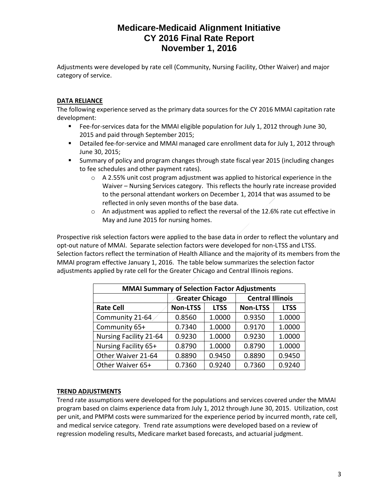Adjustments were developed by rate cell (Community, Nursing Facility, Other Waiver) and major category of service.

#### **DATA RELIANCE**

The following experience served as the primary data sources for the CY 2016 MMAI capitation rate development:

- Fee-for-services data for the MMAI eligible population for July 1, 2012 through June 30, 2015 and paid through September 2015;
- **•** Detailed fee-for-service and MMAI managed care enrollment data for July 1, 2012 through June 30, 2015;
- Summary of policy and program changes through state fiscal year 2015 (including changes to fee schedules and other payment rates).
	- o A 2.55% unit cost program adjustment was applied to historical experience in the Waiver – Nursing Services category. This reflects the hourly rate increase provided to the personal attendant workers on December 1, 2014 that was assumed to be reflected in only seven months of the base data.
	- $\circ$  An adjustment was applied to reflect the reversal of the 12.6% rate cut effective in May and June 2015 for nursing homes.

Prospective risk selection factors were applied to the base data in order to reflect the voluntary and opt-out nature of MMAI. Separate selection factors were developed for non-LTSS and LTSS. Selection factors reflect the termination of Health Alliance and the majority of its members from the MMAI program effective January 1, 2016. The table below summarizes the selection factor adjustments applied by rate cell for the Greater Chicago and Central Illinois regions.

| <b>MMAI Summary of Selection Factor Adjustments</b> |                        |             |                         |             |
|-----------------------------------------------------|------------------------|-------------|-------------------------|-------------|
|                                                     | <b>Greater Chicago</b> |             | <b>Central Illinois</b> |             |
| <b>Rate Cell</b>                                    | <b>Non-LTSS</b>        | <b>LTSS</b> | <b>Non-LTSS</b>         | <b>LTSS</b> |
| Community 21-64                                     | 0.8560                 | 1.0000      | 0.9350                  | 1.0000      |
| Community 65+                                       | 0.7340                 | 1.0000      | 0.9170                  | 1.0000      |
| <b>Nursing Facility 21-64</b>                       | 0.9230                 | 1.0000      | 0.9230                  | 1.0000      |
| Nursing Facility 65+                                | 0.8790                 | 1.0000      | 0.8790                  | 1.0000      |
| Other Waiver 21-64                                  | 0.8890                 | 0.9450      | 0.8890                  | 0.9450      |
| Other Waiver 65+                                    | 0.7360                 | 0.9240      | 0.7360                  | 0.9240      |

#### **TREND ADJUSTMENTS**

Trend rate assumptions were developed for the populations and services covered under the MMAI program based on claims experience data from July 1, 2012 through June 30, 2015. Utilization, cost per unit, and PMPM costs were summarized for the experience period by incurred month, rate cell, and medical service category. Trend rate assumptions were developed based on a review of regression modeling results, Medicare market based forecasts, and actuarial judgment.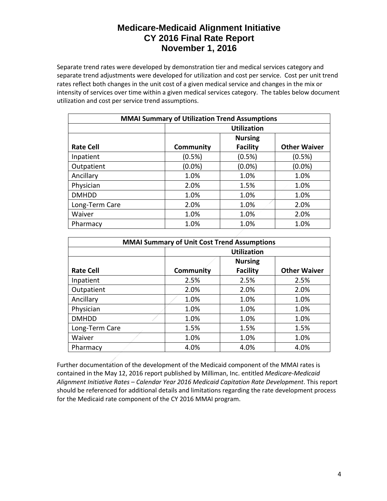Separate trend rates were developed by demonstration tier and medical services category and separate trend adjustments were developed for utilization and cost per service. Cost per unit trend rates reflect both changes in the unit cost of a given medical service and changes in the mix or intensity of services over time within a given medical services category. The tables below document utilization and cost per service trend assumptions.

| <b>MMAI Summary of Utilization Trend Assumptions</b> |                    |                 |                     |  |
|------------------------------------------------------|--------------------|-----------------|---------------------|--|
|                                                      | <b>Utilization</b> |                 |                     |  |
|                                                      |                    | <b>Nursing</b>  |                     |  |
| <b>Rate Cell</b>                                     | Community          | <b>Facility</b> | <b>Other Waiver</b> |  |
| Inpatient                                            | (0.5%)             | (0.5%)          | (0.5%)              |  |
| Outpatient                                           | $(0.0\%)$          | $(0.0\%)$       | $(0.0\%)$           |  |
| Ancillary                                            | 1.0%               | 1.0%            | 1.0%                |  |
| Physician                                            | 2.0%               | 1.5%            | 1.0%                |  |
| <b>DMHDD</b>                                         | 1.0%               | 1.0%            | 1.0%                |  |
| Long-Term Care                                       | 2.0%               | 1.0%            | 2.0%                |  |
| Waiver                                               | 1.0%               | 1.0%            | 2.0%                |  |
| Pharmacy                                             | 1.0%               | 1.0%            | 1.0%                |  |

| <b>MMAI Summary of Unit Cost Trend Assumptions</b> |                    |                 |                     |  |
|----------------------------------------------------|--------------------|-----------------|---------------------|--|
|                                                    | <b>Utilization</b> |                 |                     |  |
|                                                    | <b>Nursing</b>     |                 |                     |  |
| <b>Rate Cell</b>                                   | Community          | <b>Facility</b> | <b>Other Waiver</b> |  |
| Inpatient                                          | 2.5%               | 2.5%            | 2.5%                |  |
| Outpatient                                         | 2.0%               | 2.0%            | 2.0%                |  |
| Ancillary                                          | 1.0%               | 1.0%            | 1.0%                |  |
| Physician                                          | 1.0%               | 1.0%            | 1.0%                |  |
| <b>DMHDD</b>                                       | 1.0%               | 1.0%            | 1.0%                |  |
| Long-Term Care                                     | 1.5%               | 1.5%            | 1.5%                |  |
| Waiver                                             | 1.0%               | 1.0%            | 1.0%                |  |
| Pharmacy                                           | 4.0%               | 4.0%            | 4.0%                |  |

Further documentation of the development of the Medicaid component of the MMAI rates is contained in the May 12, 2016 report published by Milliman, Inc. entitled *Medicare-Medicaid Alignment Initiative Rates – Calendar Year 2016 Medicaid Capitation Rate Development*. This report should be referenced for additional details and limitations regarding the rate development process for the Medicaid rate component of the CY 2016 MMAI program.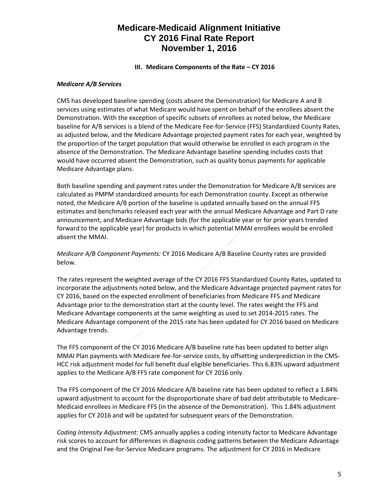#### **III.** Medicare Components of the Rate – CY 2016

#### *Medicare A/B Services*

CMS has developed baseline spending (costs absent the Demonstration) for Medicare A and B services using estimates of what Medicare would have spent on behalf of the enrollees absent the Demonstration. With the exception of specific subsets of enrollees as noted below, the Medicare baseline for A/B services is a blend of the Medicare Fee-for-Service (FFS) Standardized County Rates, as adjusted below, and the Medicare Advantage projected payment rates for each year, weighted by the proportion of the target population that would otherwise be enrolled in each program in the absence of the Demonstration. The Medicare Advantage baseline spending includes costs that would have occurred absent the Demonstration, such as quality bonus payments for applicable Medicare Advantage plans.

Both baseline spending and payment rates under the Demonstration for Medicare A/B services are calculated as PMPM standardized amounts for each Demonstration county. Except as otherwise noted, the Medicare A/B portion of the baseline is updated annually based on the annual FFS estimates and benchmarks released each year with the annual Medicare Advantage and Part D rate announcement, and Medicare Advantage bids (for the applicable year or for prior years trended forward to the applicable year) for products in which potential MMAI enrollees would be enrolled absent the MMAI.

*Medicare A/B Component Payments:* CY 2016 Medicare A/B Baseline County rates are provided below.

The rates represent the weighted average of the CY 2016 FFS Standardized County Rates, updated to incorporate the adjustments noted below, and the Medicare Advantage projected payment rates for CY 2016, based on the expected enrollment of beneficiaries from Medicare FFS and Medicare Advantage prior to the demonstration start at the county level. The rates weight the FFS and Medicare Advantage components at the same weighting as used to set 2014-2015 rates. The Medicare Advantage component of the 2015 rate has been updated for CY 2016 based on Medicare Advantage trends.

The FFS component of the CY 2016 Medicare A/B baseline rate has been updated to better align MMAI Plan payments with Medicare fee-for-service costs, by offsetting underprediction in the CMS-HCC risk adjustment model for full benefit dual eligible beneficiaries. This 6.83% upward adjustment applies to the Medicare A/B FFS rate component for CY 2016 only.

The FFS component of the CY 2016 Medicare A/B baseline rate has been updated to reflect a 1.84% upward adjustment to account for the disproportionate share of bad debt attributable to Medicare-Medicaid enrollees in Medicare FFS (in the absence of the Demonstration). This 1.84% adjustment applies for CY 2016 and will be updated for subsequent years of the Demonstration.

*Coding Intensity Adjustment:* CMS annually applies a coding intensity factor to Medicare Advantage risk scores to account for differences in diagnosis coding patterns between the Medicare Advantage and the Original Fee-for-Service Medicare programs. The adjustment for CY 2016 in Medicare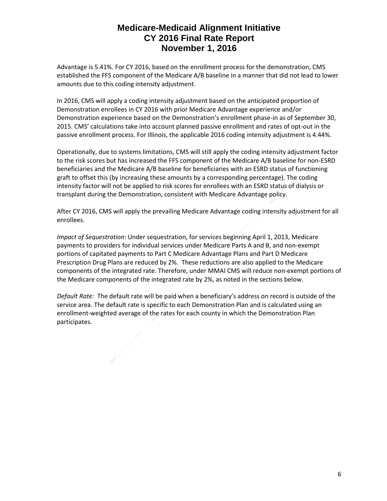Advantage is 5.41%. For CY 2016, based on the enrollment process for the demonstration, CMS established the FFS component of the Medicare A/B baseline in a manner that did not lead to lower amounts due to this coding intensity adjustment.

In 2016, CMS will apply a coding intensity adjustment based on the anticipated proportion of Demonstration enrollees in CY 2016 with prior Medicare Advantage experience and/or Demonstration experience based on the Demonstration's enrollment phase-in as of September 30, 2015. CMS' calculations take into account planned passive enrollment and rates of opt-out in the passive enrollment process. For Illinois, the applicable 2016 coding intensity adjustment is 4.44%.

Operationally, due to systems limitations, CMS will still apply the coding intensity adjustment factor to the risk scores but has increased the FFS component of the Medicare A/B baseline for non-ESRD beneficiaries and the Medicare A/B baseline for beneficiaries with an ESRD status of functioning graft to offset this (by increasing these amounts by a corresponding percentage). The coding intensity factor will not be applied to risk scores for enrollees with an ESRD status of dialysis or transplant during the Demonstration, consistent with Medicare Advantage policy.

After CY 2016, CMS will apply the prevailing Medicare Advantage coding intensity adjustment for all enrollees.

*Impact of Sequestration*: Under sequestration, for services beginning April 1, 2013, Medicare payments to providers for individual services under Medicare Parts A and B, and non-exempt portions of capitated payments to Part C Medicare Advantage Plans and Part D Medicare Prescription Drug Plans are reduced by 2%. These reductions are also applied to the Medicare components of the integrated rate. Therefore, under MMAI CMS will reduce non-exempt portions of the Medicare components of the integrated rate by 2%, as noted in the sections below.

*Default Rate:* The default rate will be paid when a beneficiary's address on record is outside of the service area. The default rate is specific to each Demonstration Plan and is calculated using an enrollment-weighted average of the rates for each county in which the Demonstration Plan participates.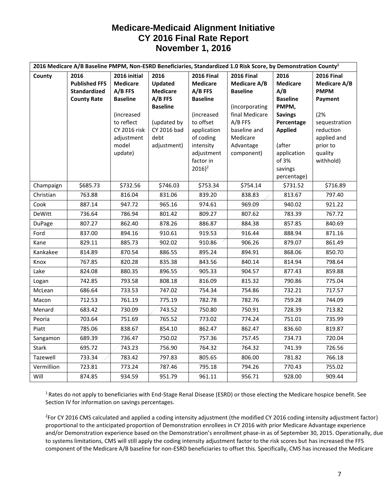| 2016 Medicare A/B Baseline PMPM, Non-ESRD Beneficiaries, Standardized 1.0 Risk Score, by Demonstration County <sup>1</sup> |                                                                           |                                                                                                                                                    |                                                                                                                         |                                                                                                                                                                                          |                                                                                                                                                                   |                                                                                                                                                                          |                                                                                                                                                            |
|----------------------------------------------------------------------------------------------------------------------------|---------------------------------------------------------------------------|----------------------------------------------------------------------------------------------------------------------------------------------------|-------------------------------------------------------------------------------------------------------------------------|------------------------------------------------------------------------------------------------------------------------------------------------------------------------------------------|-------------------------------------------------------------------------------------------------------------------------------------------------------------------|--------------------------------------------------------------------------------------------------------------------------------------------------------------------------|------------------------------------------------------------------------------------------------------------------------------------------------------------|
| County                                                                                                                     | 2016<br><b>Published FFS</b><br><b>Standardized</b><br><b>County Rate</b> | 2016 initial<br><b>Medicare</b><br>A/B FFS<br><b>Baseline</b><br>(increased<br>to reflect<br><b>CY 2016 risk</b><br>adjustment<br>model<br>update) | 2016<br>Updated<br><b>Medicare</b><br>$A/B$ FFS<br><b>Baseline</b><br>(updated by<br>CY 2016 bad<br>debt<br>adjustment) | <b>2016 Final</b><br><b>Medicare</b><br>A/B FFS<br><b>Baseline</b><br>(increased<br>to offset<br>application<br>of coding<br>intensity<br>adjustment<br>factor in<br>$2016$ <sup>2</sup> | <b>2016 Final</b><br><b>Medicare A/B</b><br><b>Baseline</b><br>(incorporating<br>final Medicare<br>A/B FFS<br>baseline and<br>Medicare<br>Advantage<br>component) | 2016<br><b>Medicare</b><br>A/B<br><b>Baseline</b><br>PMPM,<br><b>Savings</b><br>Percentage<br><b>Applied</b><br>(after<br>application<br>of 3%<br>savings<br>percentage) | <b>2016 Final</b><br><b>Medicare A/B</b><br><b>PMPM</b><br>Payment<br>(2%<br>sequestration<br>reduction<br>applied and<br>prior to<br>quality<br>withhold) |
| Champaign                                                                                                                  | \$685.73                                                                  | \$732.56                                                                                                                                           | \$746.03                                                                                                                | \$753.34                                                                                                                                                                                 | \$754.14                                                                                                                                                          | \$731.52                                                                                                                                                                 | \$716.89                                                                                                                                                   |
| Christian                                                                                                                  | 763.88                                                                    | 816.04                                                                                                                                             | 831.06                                                                                                                  | 839.20                                                                                                                                                                                   | 838.83                                                                                                                                                            | 813.67                                                                                                                                                                   | 797.40                                                                                                                                                     |
| Cook                                                                                                                       | 887.14                                                                    | 947.72                                                                                                                                             | 965.16                                                                                                                  | 974.61                                                                                                                                                                                   | 969.09                                                                                                                                                            | 940.02                                                                                                                                                                   | 921.22                                                                                                                                                     |
| <b>DeWitt</b>                                                                                                              | 736.64                                                                    | 786.94                                                                                                                                             | 801.42                                                                                                                  | 809.27                                                                                                                                                                                   | 807.62                                                                                                                                                            | 783.39                                                                                                                                                                   | 767.72                                                                                                                                                     |
| <b>DuPage</b>                                                                                                              | 807.27                                                                    | 862.40                                                                                                                                             | 878.26                                                                                                                  | 886.87                                                                                                                                                                                   | 884.38                                                                                                                                                            | 857.85                                                                                                                                                                   | 840.69                                                                                                                                                     |
| Ford                                                                                                                       | 837.00                                                                    | 894.16                                                                                                                                             | 910.61                                                                                                                  | 919.53                                                                                                                                                                                   | 916.44                                                                                                                                                            | 888.94                                                                                                                                                                   | 871.16                                                                                                                                                     |
| Kane                                                                                                                       | 829.11                                                                    | 885.73                                                                                                                                             | 902.02                                                                                                                  | 910.86                                                                                                                                                                                   | 906.26                                                                                                                                                            | 879.07                                                                                                                                                                   | 861.49                                                                                                                                                     |
| Kankakee                                                                                                                   | 814.89                                                                    | 870.54                                                                                                                                             | 886.55                                                                                                                  | 895.24                                                                                                                                                                                   | 894.91                                                                                                                                                            | 868.06                                                                                                                                                                   | 850.70                                                                                                                                                     |
| Knox                                                                                                                       | 767.85                                                                    | 820.28                                                                                                                                             | 835.38                                                                                                                  | 843.56                                                                                                                                                                                   | 840.14                                                                                                                                                            | 814.94                                                                                                                                                                   | 798.64                                                                                                                                                     |
| Lake                                                                                                                       | 824.08                                                                    | 880.35                                                                                                                                             | 896.55                                                                                                                  | 905.33                                                                                                                                                                                   | 904.57                                                                                                                                                            | 877.43                                                                                                                                                                   | 859.88                                                                                                                                                     |
| Logan                                                                                                                      | 742.85                                                                    | 793.58                                                                                                                                             | 808.18                                                                                                                  | 816.09                                                                                                                                                                                   | 815.32                                                                                                                                                            | 790.86                                                                                                                                                                   | 775.04                                                                                                                                                     |
| McLean                                                                                                                     | 686.64                                                                    | 733.53                                                                                                                                             | 747.02                                                                                                                  | 754.34                                                                                                                                                                                   | 754.86                                                                                                                                                            | 732.21                                                                                                                                                                   | 717.57                                                                                                                                                     |
| Macon                                                                                                                      | 712.53                                                                    | 761.19                                                                                                                                             | 775.19                                                                                                                  | 782.78                                                                                                                                                                                   | 782.76                                                                                                                                                            | 759.28                                                                                                                                                                   | 744.09                                                                                                                                                     |
| Menard                                                                                                                     | 683.42                                                                    | 730.09                                                                                                                                             | 743.52                                                                                                                  | 750.80                                                                                                                                                                                   | 750.91                                                                                                                                                            | 728.39                                                                                                                                                                   | 713.82                                                                                                                                                     |
| Peoria                                                                                                                     | 703.64                                                                    | 751.69                                                                                                                                             | 765.52                                                                                                                  | 773.02                                                                                                                                                                                   | 774.24                                                                                                                                                            | 751.01                                                                                                                                                                   | 735.99                                                                                                                                                     |
| Piatt                                                                                                                      | 785.06                                                                    | 838.67                                                                                                                                             | 854.10                                                                                                                  | 862.47                                                                                                                                                                                   | 862.47                                                                                                                                                            | 836.60                                                                                                                                                                   | 819.87                                                                                                                                                     |
| Sangamon                                                                                                                   | 689.39                                                                    | 736.47                                                                                                                                             | 750.02                                                                                                                  | 757.36                                                                                                                                                                                   | 757.45                                                                                                                                                            | 734.73                                                                                                                                                                   | 720.04                                                                                                                                                     |
| <b>Stark</b>                                                                                                               | 695.72                                                                    | 743.23                                                                                                                                             | 756.90                                                                                                                  | 764.32                                                                                                                                                                                   | 764.32                                                                                                                                                            | 741.39                                                                                                                                                                   | 726.56                                                                                                                                                     |
| Tazewell                                                                                                                   | 733.34                                                                    | 783.42                                                                                                                                             | 797.83                                                                                                                  | 805.65                                                                                                                                                                                   | 806.00                                                                                                                                                            | 781.82                                                                                                                                                                   | 766.18                                                                                                                                                     |
| Vermillion                                                                                                                 | 723.81                                                                    | 773.24                                                                                                                                             | 787.46                                                                                                                  | 795.18                                                                                                                                                                                   | 794.26                                                                                                                                                            | 770.43                                                                                                                                                                   | 755.02                                                                                                                                                     |
| Will                                                                                                                       | 874.85                                                                    | 934.59                                                                                                                                             | 951.79                                                                                                                  | 961.11                                                                                                                                                                                   | 956.71                                                                                                                                                            | 928.00                                                                                                                                                                   | 909.44                                                                                                                                                     |

<sup>1</sup> Rates do not apply to beneficiaries with End-Stage Renal Disease (ESRD) or those electing the Medicare hospice benefit. See Section IV for information on savings percentages.

<sup>2</sup>For CY 2016 CMS calculated and applied a coding intensity adjustment (the modified CY 2016 coding intensity adjustment factor) proportional to the anticipated proportion of Demonstration enrollees in CY 2016 with prior Medicare Advantage experience and/or Demonstration experience based on the Demonstration's enrollment phase-in as of September 30, 2015. Operationally, due to systems limitations, CMS will still apply the coding intensity adjustment factor to the risk scores but has increased the FFS component of the Medicare A/B baseline for non-ESRD beneficiaries to offset this. Specifically, CMS has increased the Medicare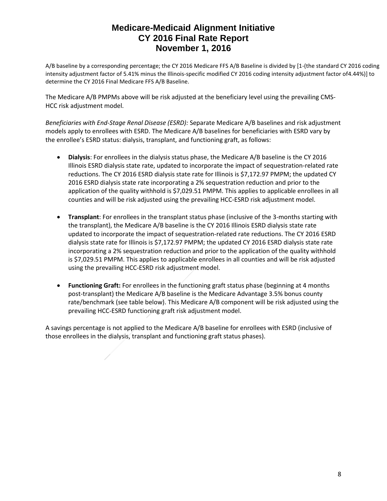A/B baseline by a corresponding percentage; the CY 2016 Medicare FFS A/B Baseline is divided by [1-(the standard CY 2016 coding intensity adjustment factor of 5.41% minus the Illinois-specific modified CY 2016 coding intensity adjustment factor of4.44%)] to determine the CY 2016 Final Medicare FFS A/B Baseline.

The Medicare A/B PMPMs above will be risk adjusted at the beneficiary level using the prevailing CMS-HCC risk adjustment model.

*Beneficiaries with End-Stage Renal Disease (ESRD):* Separate Medicare A/B baselines and risk adjustment models apply to enrollees with ESRD. The Medicare A/B baselines for beneficiaries with ESRD vary by the enrollee's ESRD status: dialysis, transplant, and functioning graft, as follows:

- **Dialysis**: For enrollees in the dialysis status phase, the Medicare A/B baseline is the CY 2016 Illinois ESRD dialysis state rate, updated to incorporate the impact of sequestration-related rate reductions. The CY 2016 ESRD dialysis state rate for Illinois is \$7,172.97 PMPM; the updated CY 2016 ESRD dialysis state rate incorporating a 2% sequestration reduction and prior to the application of the quality withhold is \$7,029.51 PMPM. This applies to applicable enrollees in all counties and will be risk adjusted using the prevailing HCC-ESRD risk adjustment model.
- **Transplant**: For enrollees in the transplant status phase (inclusive of the 3-months starting with the transplant), the Medicare A/B baseline is the CY 2016 Illinois ESRD dialysis state rate updated to incorporate the impact of sequestration-related rate reductions. The CY 2016 ESRD dialysis state rate for Illinois is \$7,172.97 PMPM; the updated CY 2016 ESRD dialysis state rate incorporating a 2% sequestration reduction and prior to the application of the quality withhold is \$7,029.51 PMPM. This applies to applicable enrollees in all counties and will be risk adjusted using the prevailing HCC-ESRD risk adjustment model.
- **Functioning Graft:** For enrollees in the functioning graft status phase (beginning at 4 months post-transplant) the Medicare A/B baseline is the Medicare Advantage 3.5% bonus county rate/benchmark (see table below). This Medicare A/B component will be risk adjusted using the prevailing HCC-ESRD functioning graft risk adjustment model.

A savings percentage is not applied to the Medicare A/B baseline for enrollees with ESRD (inclusive of those enrollees in the dialysis, transplant and functioning graft status phases).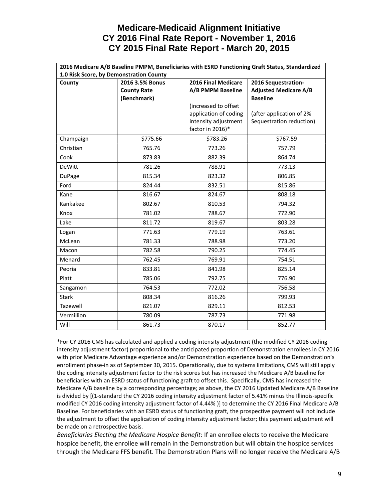## **Medicare-Medicaid Alignment Initiative CY 2016 Final Rate Report - November 1, 2016 CY 2015 Final Rate Report - March 20, 2015**

| 2016 Medicare A/B Baseline PMPM, Beneficiaries with ESRD Functioning Graft Status, Standardized |                    |                       |                              |  |  |
|-------------------------------------------------------------------------------------------------|--------------------|-----------------------|------------------------------|--|--|
| 1.0 Risk Score, by Demonstration County                                                         |                    |                       |                              |  |  |
| County                                                                                          | 2016 3.5% Bonus    | 2016 Final Medicare   | 2016 Sequestration-          |  |  |
|                                                                                                 | <b>County Rate</b> | A/B PMPM Baseline     | <b>Adjusted Medicare A/B</b> |  |  |
|                                                                                                 | (Benchmark)        |                       | <b>Baseline</b>              |  |  |
|                                                                                                 |                    | (increased to offset  |                              |  |  |
|                                                                                                 |                    | application of coding | (after application of 2%     |  |  |
|                                                                                                 |                    | intensity adjustment  | Sequestration reduction)     |  |  |
|                                                                                                 |                    | factor in 2016)*      |                              |  |  |
| Champaign                                                                                       | \$775.66           | \$783.26              | \$767.59                     |  |  |
| Christian                                                                                       | 765.76             | 773.26                | 757.79                       |  |  |
| Cook                                                                                            | 873.83             | 882.39                | 864.74                       |  |  |
| <b>DeWitt</b>                                                                                   | 781.26             | 788.91                | 773.13                       |  |  |
| <b>DuPage</b>                                                                                   | 815.34             | 823.32                | 806.85                       |  |  |
| Ford                                                                                            | 824.44             | 832.51                | 815.86                       |  |  |
| Kane                                                                                            | 816.67             | 824.67                | 808.18                       |  |  |
| Kankakee                                                                                        | 802.67             | 810.53                | 794.32                       |  |  |
| Knox                                                                                            | 781.02             | 788.67                | 772.90                       |  |  |
| Lake                                                                                            | 811.72             | 819.67                | 803.28                       |  |  |
| Logan                                                                                           | 771.63             | 779.19                | 763.61                       |  |  |
| McLean                                                                                          | 781.33             | 788.98                | 773.20                       |  |  |
| Macon                                                                                           | 782.58             | 790.25                | 774.45                       |  |  |
| Menard                                                                                          | 762.45             | 769.91                | 754.51                       |  |  |
| Peoria                                                                                          | 833.81             | 841.98                | 825.14                       |  |  |
| Piatt                                                                                           | 785.06             | 792.75                | 776.90                       |  |  |
| Sangamon                                                                                        | 764.53             | 772.02                | 756.58                       |  |  |
| <b>Stark</b>                                                                                    | 808.34             | 816.26                | 799.93                       |  |  |
| Tazewell                                                                                        | 821.07             | 829.11                | 812.53                       |  |  |
| Vermillion                                                                                      | 780.09             | 787.73                | 771.98                       |  |  |
| Will                                                                                            | 861.73             | 870.17                | 852.77                       |  |  |

\*For CY 2016 CMS has calculated and applied a coding intensity adjustment (the modified CY 2016 coding intensity adjustment factor) proportional to the anticipated proportion of Demonstration enrollees in CY 2016 with prior Medicare Advantage experience and/or Demonstration experience based on the Demonstration's enrollment phase-in as of September 30, 2015. Operationally, due to systems limitations, CMS will still apply the coding intensity adjustment factor to the risk scores but has increased the Medicare A/B baseline for beneficiaries with an ESRD status of functioning graft to offset this. Specifically, CMS has increased the Medicare A/B baseline by a corresponding percentage; as above, the CY 2016 Updated Medicare A/B Baseline is divided by [(1-standard the CY 2016 coding intensity adjustment factor of 5.41% minus the Illinois-specific modified CY 2016 coding intensity adjustment factor of 4.44% )] to determine the CY 2016 Final Medicare A/B Baseline. For beneficiaries with an ESRD status of functioning graft, the prospective payment will not include the adjustment to offset the application of coding intensity adjustment factor; this payment adjustment will be made on a retrospective basis.

*Beneficiaries Electing the Medicare Hospice Benefit:* If an enrollee elects to receive the Medicare hospice benefit, the enrollee will remain in the Demonstration but will obtain the hospice services through the Medicare FFS benefit. The Demonstration Plans will no longer receive the Medicare A/B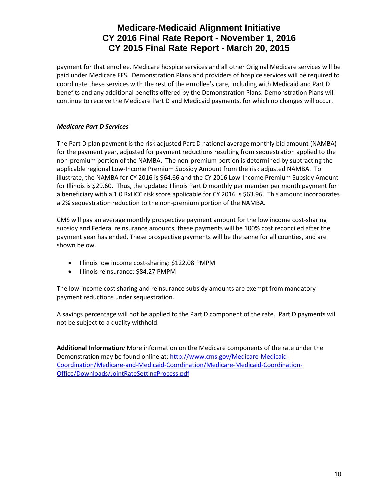# **Medicare-Medicaid Alignment Initiative CY 2016 Final Rate Report - November 1, 2016 CY 2015 Final Rate Report - March 20, 2015**

payment for that enrollee. Medicare hospice services and all other Original Medicare services will be paid under Medicare FFS. Demonstration Plans and providers of hospice services will be required to coordinate these services with the rest of the enrollee's care, including with Medicaid and Part D benefits and any additional benefits offered by the Demonstration Plans. Demonstration Plans will continue to receive the Medicare Part D and Medicaid payments, for which no changes will occur.

#### *Medicare Part D Services*

The Part D plan payment is the risk adjusted Part D national average monthly bid amount (NAMBA) for the payment year, adjusted for payment reductions resulting from sequestration applied to the non-premium portion of the NAMBA. The non-premium portion is determined by subtracting the applicable regional Low-Income Premium Subsidy Amount from the risk adjusted NAMBA. To illustrate, the NAMBA for CY 2016 is \$64.66 and the CY 2016 Low-Income Premium Subsidy Amount for Illinois is \$29.60. Thus, the updated Illinois Part D monthly per member per month payment for a beneficiary with a 1.0 RxHCC risk score applicable for CY 2016 is \$63.96. This amount incorporates a 2% sequestration reduction to the non-premium portion of the NAMBA.

CMS will pay an average monthly prospective payment amount for the low income cost-sharing subsidy and Federal reinsurance amounts; these payments will be 100% cost reconciled after the payment year has ended. These prospective payments will be the same for all counties, and are shown below.

- Illinois low income cost-sharing: \$122.08 PMPM
- Illinois reinsurance: \$84.27 PMPM

The low-income cost sharing and reinsurance subsidy amounts are exempt from mandatory payment reductions under sequestration.

A savings percentage will not be applied to the Part D component of the rate. Part D payments will not be subject to a quality withhold.

**Additional Information***:* More information on the Medicare components of the rate under the Demonstration may be found online at: [http://www.cms.gov/Medicare-Medicaid-](http://www.cms.gov/Medicare-Medicaid-Coordination/Medicare-and-Medicaid-Coordination/Medicare-Medicaid-Coordination-Office/Downloads/JointRateSettingProcess.pdf)[Coordination/Medicare-and-Medicaid-Coordination/Medicare-Medicaid-Coordination-](http://www.cms.gov/Medicare-Medicaid-Coordination/Medicare-and-Medicaid-Coordination/Medicare-Medicaid-Coordination-Office/Downloads/JointRateSettingProcess.pdf)[Office/Downloads/JointRateSettingProcess.pdf](http://www.cms.gov/Medicare-Medicaid-Coordination/Medicare-and-Medicaid-Coordination/Medicare-Medicaid-Coordination-Office/Downloads/JointRateSettingProcess.pdf)